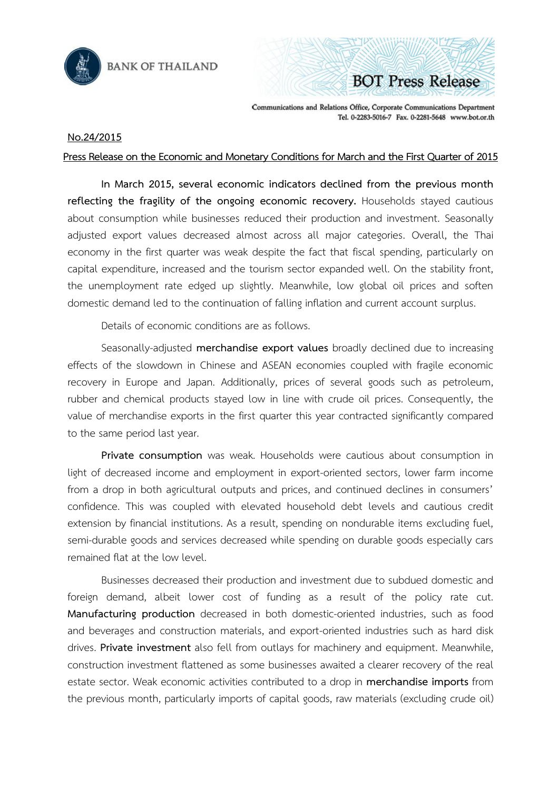

**BANK OF THAILAND** 

**BOT Press Release** 

Communications and Relations Office, Corporate Communications Department Tel. 0-2283-5016-7 Fax. 0-2281-5648 www.bot.or.th

## **No.24/2015**

## Press Release on the Economic and Monetary Conditions for March and the First Quarter of 2015

**In March 2015, several economic indicators declined from the previous month reflecting the fragility of the ongoing economic recovery.** Households stayed cautious about consumption while businesses reduced their production and investment. Seasonally adjusted export values decreased almost across all major categories. Overall, the Thai economy in the first quarter was weak despite the fact that fiscal spending, particularly on capital expenditure, increased and the tourism sector expanded well. On the stability front, the unemployment rate edged up slightly. Meanwhile, low global oil prices and soften domestic demand led to the continuation of falling inflation and current account surplus.

Details of economic conditions are as follows.

Seasonally-adjusted **merchandise export values** broadly declined due to increasing effects of the slowdown in Chinese and ASEAN economies coupled with fragile economic recovery in Europe and Japan. Additionally, prices of several goods such as petroleum, rubber and chemical products stayed low in line with crude oil prices. Consequently, the value of merchandise exports in the first quarter this year contracted significantly compared to the same period last year.

**Private consumption** was weak. Households were cautious about consumption in light of decreased income and employment in export-oriented sectors, lower farm income from a drop in both agricultural outputs and prices, and continued declines in consumers' confidence. This was coupled with elevated household debt levels and cautious credit extension by financial institutions. As a result, spending on nondurable items excluding fuel, semi-durable goods and services decreased while spending on durable goods especially cars remained flat at the low level.

Businesses decreased their production and investment due to subdued domestic and foreign demand, albeit lower cost of funding as a result of the policy rate cut. **Manufacturing production** decreased in both domestic-oriented industries, such as food and beverages and construction materials, and export-oriented industries such as hard disk drives. **Private investment** also fell from outlays for machinery and equipment. Meanwhile, construction investment flattened as some businesses awaited a clearer recovery of the real estate sector. Weak economic activities contributed to a drop in **merchandise imports** from the previous month, particularly imports of capital goods, raw materials (excluding crude oil)